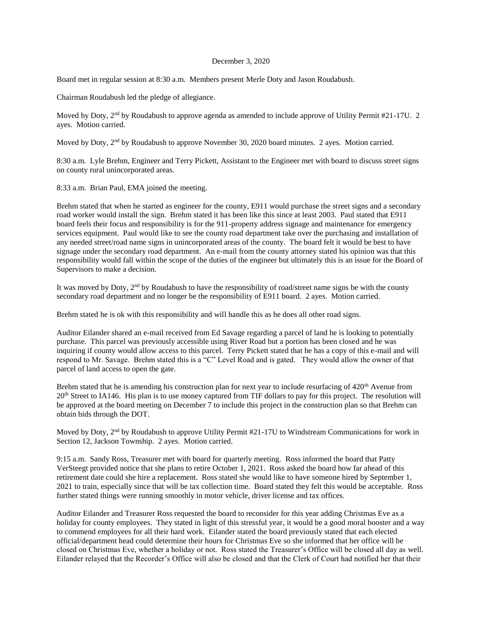#### December 3, 2020

Board met in regular session at 8:30 a.m. Members present Merle Doty and Jason Roudabush.

Chairman Roudabush led the pledge of allegiance.

Moved by Doty,  $2<sup>nd</sup>$  by Roudabush to approve agenda as amended to include approve of Utility Permit #21-17U. 2 ayes. Motion carried.

Moved by Doty, 2<sup>nd</sup> by Roudabush to approve November 30, 2020 board minutes. 2 ayes. Motion carried.

8:30 a.m. Lyle Brehm, Engineer and Terry Pickett, Assistant to the Engineer met with board to discuss street signs on county rural unincorporated areas.

8:33 a.m. Brian Paul, EMA joined the meeting.

Brehm stated that when he started as engineer for the county, E911 would purchase the street signs and a secondary road worker would install the sign. Brehm stated it has been like this since at least 2003. Paul stated that E911 board feels their focus and responsibility is for the 911-property address signage and maintenance for emergency services equipment. Paul would like to see the county road department take over the purchasing and installation of any needed street/road name signs in unincorporated areas of the county. The board felt it would be best to have signage under the secondary road department. An e-mail from the county attorney stated his opinion was that this responsibility would fall within the scope of the duties of the engineer but ultimately this is an issue for the Board of Supervisors to make a decision.

It was moved by Doty,  $2<sup>nd</sup>$  by Roudabush to have the responsibility of road/street name signs be with the county secondary road department and no longer be the responsibility of E911 board. 2 ayes. Motion carried.

Brehm stated he is ok with this responsibility and will handle this as he does all other road signs.

Auditor Eilander shared an e-mail received from Ed Savage regarding a parcel of land he is looking to potentially purchase. This parcel was previously accessible using River Road but a portion has been closed and he was inquiring if county would allow access to this parcel. Terry Pickett stated that he has a copy of this e-mail and will respond to Mr. Savage. Brehm stated this is a "C" Level Road and is gated. They would allow the owner of that parcel of land access to open the gate.

Brehm stated that he is amending his construction plan for next year to include resurfacing of  $420<sup>th</sup>$  Avenue from 20th Street to IA146. His plan is to use money captured from TIF dollars to pay for this project. The resolution will be approved at the board meeting on December 7 to include this project in the construction plan so that Brehm can obtain bids through the DOT.

Moved by Doty, 2<sup>nd</sup> by Roudabush to approve Utility Permit #21-17U to Windstream Communications for work in Section 12, Jackson Township. 2 ayes. Motion carried.

9:15 a.m. Sandy Ross, Treasurer met with board for quarterly meeting. Ross informed the board that Patty VerSteegt provided notice that she plans to retire October 1, 2021. Ross asked the board how far ahead of this retirement date could she hire a replacement. Ross stated she would like to have someone hired by September 1, 2021 to train, especially since that will be tax collection time. Board stated they felt this would be acceptable. Ross further stated things were running smoothly in motor vehicle, driver license and tax offices.

Auditor Eilander and Treasurer Ross requested the board to reconsider for this year adding Christmas Eve as a holiday for county employees. They stated in light of this stressful year, it would be a good moral booster and a way to commend employees for all their hard work. Eilander stated the board previously stated that each elected official/department head could determine their hours for Christmas Eve so she informed that her office will be closed on Christmas Eve, whether a holiday or not. Ross stated the Treasurer's Office will be closed all day as well. Eilander relayed that the Recorder's Office will also be closed and that the Clerk of Court had notified her that their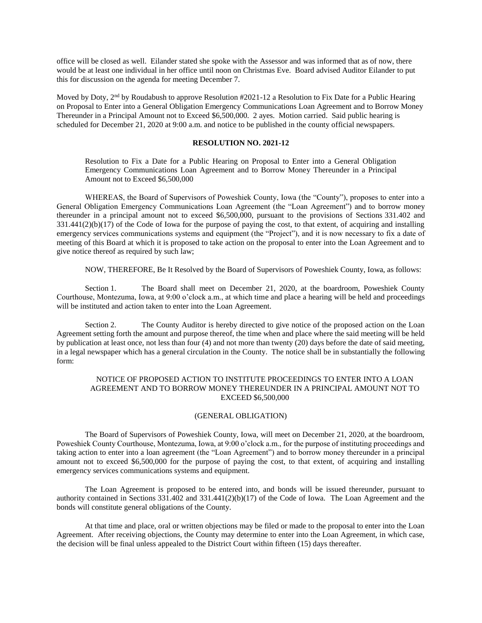office will be closed as well. Eilander stated she spoke with the Assessor and was informed that as of now, there would be at least one individual in her office until noon on Christmas Eve. Board advised Auditor Eilander to put this for discussion on the agenda for meeting December 7.

Moved by Doty, 2nd by Roudabush to approve Resolution #2021-12 a Resolution to Fix Date for a Public Hearing on Proposal to Enter into a General Obligation Emergency Communications Loan Agreement and to Borrow Money Thereunder in a Principal Amount not to Exceed \$6,500,000. 2 ayes. Motion carried. Said public hearing is scheduled for December 21, 2020 at 9:00 a.m. and notice to be published in the county official newspapers.

# **RESOLUTION NO. 2021-12**

Resolution to Fix a Date for a Public Hearing on Proposal to Enter into a General Obligation Emergency Communications Loan Agreement and to Borrow Money Thereunder in a Principal Amount not to Exceed \$6,500,000

WHEREAS, the Board of Supervisors of Poweshiek County, Iowa (the "County"), proposes to enter into a General Obligation Emergency Communications Loan Agreement (the "Loan Agreement") and to borrow money thereunder in a principal amount not to exceed \$6,500,000, pursuant to the provisions of Sections 331.402 and  $331.441(2)(b)(17)$  of the Code of Iowa for the purpose of paying the cost, to that extent, of acquiring and installing emergency services communications systems and equipment (the "Project"), and it is now necessary to fix a date of meeting of this Board at which it is proposed to take action on the proposal to enter into the Loan Agreement and to give notice thereof as required by such law;

NOW, THEREFORE, Be It Resolved by the Board of Supervisors of Poweshiek County, Iowa, as follows:

Section 1. The Board shall meet on December 21, 2020, at the boardroom, Poweshiek County Courthouse, Montezuma, Iowa, at 9:00 o'clock a.m., at which time and place a hearing will be held and proceedings will be instituted and action taken to enter into the Loan Agreement.

Section 2. The County Auditor is hereby directed to give notice of the proposed action on the Loan Agreement setting forth the amount and purpose thereof, the time when and place where the said meeting will be held by publication at least once, not less than four (4) and not more than twenty (20) days before the date of said meeting, in a legal newspaper which has a general circulation in the County. The notice shall be in substantially the following form:

## NOTICE OF PROPOSED ACTION TO INSTITUTE PROCEEDINGS TO ENTER INTO A LOAN AGREEMENT AND TO BORROW MONEY THEREUNDER IN A PRINCIPAL AMOUNT NOT TO EXCEED \$6,500,000

### (GENERAL OBLIGATION)

The Board of Supervisors of Poweshiek County, Iowa, will meet on December 21, 2020, at the boardroom, Poweshiek County Courthouse, Montezuma, Iowa, at 9:00 o'clock a.m., for the purpose of instituting proceedings and taking action to enter into a loan agreement (the "Loan Agreement") and to borrow money thereunder in a principal amount not to exceed \$6,500,000 for the purpose of paying the cost, to that extent, of acquiring and installing emergency services communications systems and equipment.

The Loan Agreement is proposed to be entered into, and bonds will be issued thereunder, pursuant to authority contained in Sections 331.402 and 331.441(2)(b)(17) of the Code of Iowa. The Loan Agreement and the bonds will constitute general obligations of the County.

At that time and place, oral or written objections may be filed or made to the proposal to enter into the Loan Agreement. After receiving objections, the County may determine to enter into the Loan Agreement, in which case, the decision will be final unless appealed to the District Court within fifteen (15) days thereafter.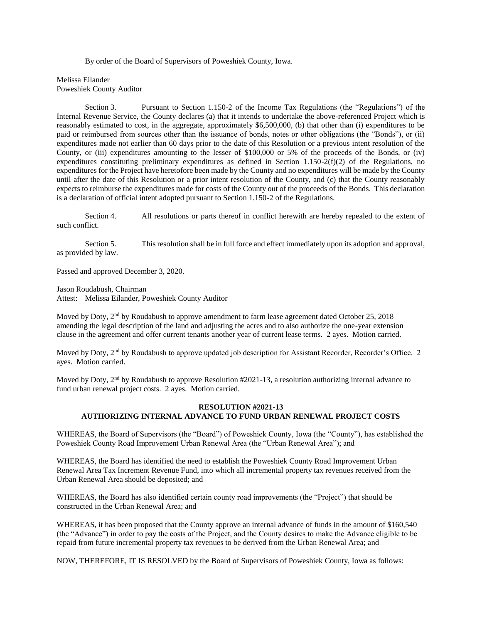By order of the Board of Supervisors of Poweshiek County, Iowa.

Melissa Eilander Poweshiek County Auditor

Section 3. Pursuant to Section 1.150-2 of the Income Tax Regulations (the "Regulations") of the Internal Revenue Service, the County declares (a) that it intends to undertake the above-referenced Project which is reasonably estimated to cost, in the aggregate, approximately \$6,500,000, (b) that other than (i) expenditures to be paid or reimbursed from sources other than the issuance of bonds, notes or other obligations (the "Bonds"), or (ii) expenditures made not earlier than 60 days prior to the date of this Resolution or a previous intent resolution of the County, or (iii) expenditures amounting to the lesser of \$100,000 or 5% of the proceeds of the Bonds, or (iv) expenditures constituting preliminary expenditures as defined in Section 1.150-2(f)(2) of the Regulations, no expenditures for the Project have heretofore been made by the County and no expenditures will be made by the County until after the date of this Resolution or a prior intent resolution of the County, and (c) that the County reasonably expects to reimburse the expenditures made for costs of the County out of the proceeds of the Bonds. This declaration is a declaration of official intent adopted pursuant to Section 1.150-2 of the Regulations.

Section 4. All resolutions or parts thereof in conflict herewith are hereby repealed to the extent of such conflict.

Section 5. This resolution shall be in full force and effect immediately upon its adoption and approval, as provided by law.

Passed and approved December 3, 2020.

Jason Roudabush, Chairman Attest: Melissa Eilander, Poweshiek County Auditor

Moved by Doty,  $2<sup>nd</sup>$  by Roudabush to approve amendment to farm lease agreement dated October 25, 2018 amending the legal description of the land and adjusting the acres and to also authorize the one-year extension clause in the agreement and offer current tenants another year of current lease terms. 2 ayes. Motion carried.

Moved by Doty, 2<sup>nd</sup> by Roudabush to approve updated job description for Assistant Recorder, Recorder's Office. 2 ayes. Motion carried.

Moved by Doty,  $2<sup>nd</sup>$  by Roudabush to approve Resolution  $\#2021-13$ , a resolution authorizing internal advance to fund urban renewal project costs. 2 ayes. Motion carried.

#### **RESOLUTION #2021-13 AUTHORIZING INTERNAL ADVANCE TO FUND URBAN RENEWAL PROJECT COSTS**

WHEREAS, the Board of Supervisors (the "Board") of Poweshiek County, Iowa (the "County"), has established the Poweshiek County Road Improvement Urban Renewal Area (the "Urban Renewal Area"); and

WHEREAS, the Board has identified the need to establish the Poweshiek County Road Improvement Urban Renewal Area Tax Increment Revenue Fund, into which all incremental property tax revenues received from the Urban Renewal Area should be deposited; and

WHEREAS, the Board has also identified certain county road improvements (the "Project") that should be constructed in the Urban Renewal Area; and

WHEREAS, it has been proposed that the County approve an internal advance of funds in the amount of \$160,540 (the "Advance") in order to pay the costs of the Project, and the County desires to make the Advance eligible to be repaid from future incremental property tax revenues to be derived from the Urban Renewal Area; and

NOW, THEREFORE, IT IS RESOLVED by the Board of Supervisors of Poweshiek County, Iowa as follows: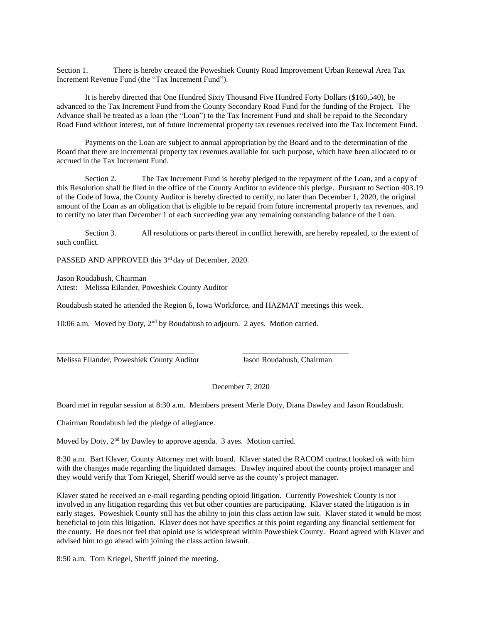Section 1. There is hereby created the Poweshiek County Road Improvement Urban Renewal Area Tax Increment Revenue Fund (the "Tax Increment Fund").

It is hereby directed that One Hundred Sixty Thousand Five Hundred Forty Dollars (\$160,540), be advanced to the Tax Increment Fund from the County Secondary Road Fund for the funding of the Project. The Advance shall be treated as a loan (the "Loan") to the Tax Increment Fund and shall be repaid to the Secondary Road Fund without interest, out of future incremental property tax revenues received into the Tax Increment Fund.

Payments on the Loan are subject to annual appropriation by the Board and to the determination of the Board that there are incremental property tax revenues available for such purpose, which have been allocated to or accrued in the Tax Increment Fund.

Section 2. The Tax Increment Fund is hereby pledged to the repayment of the Loan, and a copy of this Resolution shall be filed in the office of the County Auditor to evidence this pledge. Pursuant to Section 403.19 of the Code of Iowa, the County Auditor is hereby directed to certify, no later than December 1, 2020, the original amount of the Loan as an obligation that is eligible to be repaid from future incremental property tax revenues, and to certify no later than December 1 of each succeeding year any remaining outstanding balance of the Loan.

Section 3. All resolutions or parts thereof in conflict herewith, are hereby repealed, to the extent of such conflict.

PASSED AND APPROVED this 3<sup>rd</sup> day of December, 2020.

Jason Roudabush, Chairman Attest: Melissa Eilander, Poweshiek County Auditor

Roudabush stated he attended the Region 6, Iowa Workforce, and HAZMAT meetings this week.

\_\_\_\_\_\_\_\_\_\_\_\_\_\_\_\_\_\_\_\_\_\_\_\_\_\_\_\_\_\_\_\_\_\_\_ \_\_\_\_\_\_\_\_\_\_\_\_\_\_\_\_\_\_\_\_\_\_\_\_\_\_\_

10:06 a.m. Moved by Doty, 2<sup>nd</sup> by Roudabush to adjourn. 2 ayes. Motion carried.

Melissa Eilander, Poweshiek County Auditor Jason Roudabush, Chairman

December 7, 2020

Board met in regular session at 8:30 a.m. Members present Merle Doty, Diana Dawley and Jason Roudabush.

Chairman Roudabush led the pledge of allegiance.

Moved by Doty, 2<sup>nd</sup> by Dawley to approve agenda. 3 ayes. Motion carried.

8:30 a.m. Bart Klaver, County Attorney met with board. Klaver stated the RACOM contract looked ok with him with the changes made regarding the liquidated damages. Dawley inquired about the county project manager and they would verify that Tom Kriegel, Sheriff would serve as the county's project manager.

Klaver stated he received an e-mail regarding pending opioid litigation. Currently Poweshiek County is not involved in any litigation regarding this yet but other counties are participating. Klaver stated the litigation is in early stages. Poweshiek County still has the ability to join this class action law suit. Klaver stated it would be most beneficial to join this litigation. Klaver does not have specifics at this point regarding any financial settlement for the county. He does not feel that opioid use is widespread within Poweshiek County. Board agreed with Klaver and advised him to go ahead with joining the class action lawsuit.

8:50 a.m. Tom Kriegel, Sheriff joined the meeting.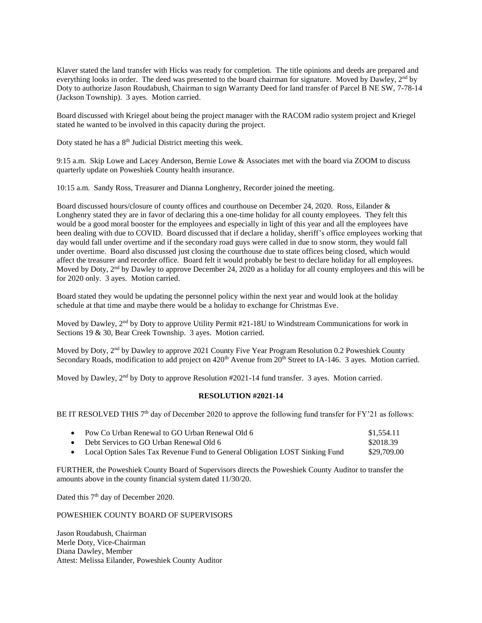Klaver stated the land transfer with Hicks was ready for completion. The title opinions and deeds are prepared and everything looks in order. The deed was presented to the board chairman for signature. Moved by Dawley, 2<sup>nd</sup> by Doty to authorize Jason Roudabush, Chairman to sign Warranty Deed for land transfer of Parcel B NE SW, 7-78-14 (Jackson Township). 3 ayes. Motion carried.

Board discussed with Kriegel about being the project manager with the RACOM radio system project and Kriegel stated he wanted to be involved in this capacity during the project.

Doty stated he has a  $8<sup>th</sup>$  Judicial District meeting this week.

9:15 a.m. Skip Lowe and Lacey Anderson, Bernie Lowe & Associates met with the board via ZOOM to discuss quarterly update on Poweshiek County health insurance.

10:15 a.m. Sandy Ross, Treasurer and Dianna Longhenry, Recorder joined the meeting.

Board discussed hours/closure of county offices and courthouse on December 24, 2020. Ross, Eilander & Longhenry stated they are in favor of declaring this a one-time holiday for all county employees. They felt this would be a good moral booster for the employees and especially in light of this year and all the employees have been dealing with due to COVID. Board discussed that if declare a holiday, sheriff's office employees working that day would fall under overtime and if the secondary road guys were called in due to snow storm, they would fall under overtime. Board also discussed just closing the courthouse due to state offices being closed, which would affect the treasurer and recorder office. Board felt it would probably be best to declare holiday for all employees. Moved by Doty, 2<sup>nd</sup> by Dawley to approve December 24, 2020 as a holiday for all county employees and this will be for 2020 only. 3 ayes. Motion carried.

Board stated they would be updating the personnel policy within the next year and would look at the holiday schedule at that time and maybe there would be a holiday to exchange for Christmas Eve.

Moved by Dawley, 2<sup>nd</sup> by Doty to approve Utility Permit #21-18U to Windstream Communications for work in Sections 19 & 30, Bear Creek Township. 3 ayes. Motion carried.

Moved by Doty, 2<sup>nd</sup> by Dawley to approve 2021 County Five Year Program Resolution 0.2 Poweshiek County Secondary Roads, modification to add project on  $420<sup>th</sup>$  Avenue from  $20<sup>th</sup>$  Street to IA-146. 3 ayes. Motion carried.

Moved by Dawley,  $2<sup>nd</sup>$  by Doty to approve Resolution #2021-14 fund transfer. 3 ayes. Motion carried.

#### **RESOLUTION #2021-14**

BE IT RESOLVED THIS 7<sup>th</sup> day of December 2020 to approve the following fund transfer for FY'21 as follows:

| • Pow Co Urban Renewal to GO Urban Renewal Old 6                              | \$1.554.11  |
|-------------------------------------------------------------------------------|-------------|
| • Debt Services to GO Urban Renewal Old 6                                     | \$2018.39   |
| • Local Option Sales Tax Revenue Fund to General Obligation LOST Sinking Fund | \$29,709.00 |

FURTHER, the Poweshiek County Board of Supervisors directs the Poweshiek County Auditor to transfer the amounts above in the county financial system dated 11/30/20.

Dated this 7<sup>th</sup> day of December 2020.

### POWESHIEK COUNTY BOARD OF SUPERVISORS

Jason Roudabush, Chairman Merle Doty, Vice-Chairman Diana Dawley, Member Attest: Melissa Eilander, Poweshiek County Auditor